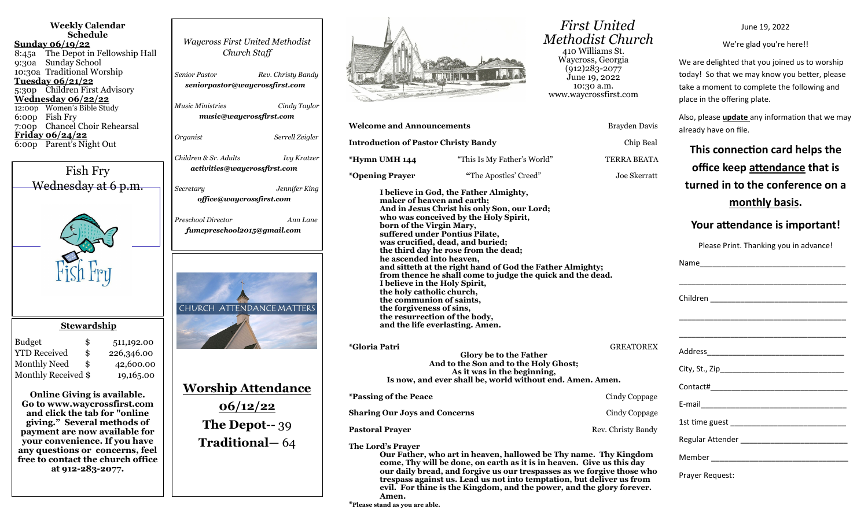| <b>Weekly Calendar</b><br><b>Schedule</b><br><u>Sunday 06/19/22</u><br>8:45a The Depot in Fellowship Hall<br>Sunday School<br>9:30a<br>10:30a Traditional Worship<br>Tuesday 06/21/22<br>5:30p Children First Advisory<br>Wednesday 06/22/22<br>12:00p Women's Bible Study<br>6:00p Fish Fry<br>7:00p Chancel Choir Rehearsal<br>Friday 06/24/22<br>6:00p Parent's Night Out | <b>Waycross First United Methodist</b><br>Church Staff<br><b>Senior Pastor</b><br>seniorpastor@waycrossfirst.com<br><i>Music Ministries</i><br>music@waycrossfirst.com<br>Organist | Rev. Christy Bandy<br>Cindy Taylor<br>Serrell Zeigler |
|------------------------------------------------------------------------------------------------------------------------------------------------------------------------------------------------------------------------------------------------------------------------------------------------------------------------------------------------------------------------------|------------------------------------------------------------------------------------------------------------------------------------------------------------------------------------|-------------------------------------------------------|
|                                                                                                                                                                                                                                                                                                                                                                              | Children & Sr. Adults                                                                                                                                                              | Ivy Kratzer                                           |
| Fish Fry                                                                                                                                                                                                                                                                                                                                                                     | activities@waycrossfirst.com                                                                                                                                                       |                                                       |
| Wednesday at 6 p.m.                                                                                                                                                                                                                                                                                                                                                          | Secretary<br>office@waycrossfirst.com                                                                                                                                              | Jennifer King                                         |
|                                                                                                                                                                                                                                                                                                                                                                              | Preschool Director<br>fumcpreschool2015@gmail.com                                                                                                                                  | Ann Lane                                              |
| <b>Stewardship</b>                                                                                                                                                                                                                                                                                                                                                           | <b>CHURCH ATTENDANCE MATTERS</b>                                                                                                                                                   |                                                       |
| <b>Budget</b><br>\$<br>511,192.00<br><b>YTD Received</b><br>\$<br>226,346.00<br><b>Monthly Need</b><br>\$<br>42,600.00<br>Monthly Received \$<br>19,165.00                                                                                                                                                                                                                   |                                                                                                                                                                                    |                                                       |
| <b>Online Giving is available.</b><br>Go to www.waycrossfirst.com<br>and click the tab for "online<br>giving." Several methods of<br>payment are now available for<br>your convenience. If you have<br>any questions or concerns, feel<br>free to contact the church office<br>at 912-283-2077.                                                                              | <u> Worship Attendance</u><br>06/12/22<br><b>The Depot--39</b><br><b>Traditional</b> - 64                                                                                          |                                                       |



| <b>Welcome and Announcements</b>                                                                                                                                                                                                                                                                                                                                                                                                                                                                                                                                                                                                                        |                                                                                                                                           | Brayden Davis      |  |  |  |
|---------------------------------------------------------------------------------------------------------------------------------------------------------------------------------------------------------------------------------------------------------------------------------------------------------------------------------------------------------------------------------------------------------------------------------------------------------------------------------------------------------------------------------------------------------------------------------------------------------------------------------------------------------|-------------------------------------------------------------------------------------------------------------------------------------------|--------------------|--|--|--|
| <b>Introduction of Pastor Christy Bandy</b>                                                                                                                                                                                                                                                                                                                                                                                                                                                                                                                                                                                                             |                                                                                                                                           | Chip Beal          |  |  |  |
| *Hymn UMH 144                                                                                                                                                                                                                                                                                                                                                                                                                                                                                                                                                                                                                                           | "This Is My Father's World"                                                                                                               | <b>TERRA BEATA</b> |  |  |  |
| <i>*</i> Opening Prayer                                                                                                                                                                                                                                                                                                                                                                                                                                                                                                                                                                                                                                 | "The Apostles' Creed"                                                                                                                     | Joe Skerratt       |  |  |  |
| I believe in God, the Father Almighty,<br>maker of heaven and earth;<br>And in Jesus Christ his only Son, our Lord;<br>who was conceived by the Holy Spirit,<br>born of the Virgin Mary,<br>suffered under Pontius Pilate,<br>was crucified, dead, and buried;<br>the third day he rose from the dead;<br>he ascended into heaven,<br>and sitteth at the right hand of God the Father Almighty;<br>from thence he shall come to judge the quick and the dead.<br>I believe in the Holy Spirit,<br>the holy catholic church,<br>the communion of saints,<br>the forgiveness of sins,<br>the resurrection of the body,<br>and the life everlasting. Amen. |                                                                                                                                           |                    |  |  |  |
| <i>*Gloria Patri</i>                                                                                                                                                                                                                                                                                                                                                                                                                                                                                                                                                                                                                                    | Glory be to the Father<br>And to the Son and to the Holy Ghost;<br>As it was in the beginning,                                            | <b>GREATOREX</b>   |  |  |  |
|                                                                                                                                                                                                                                                                                                                                                                                                                                                                                                                                                                                                                                                         | Is now, and ever shall be, world without end. Amen. Amen.                                                                                 |                    |  |  |  |
| <i><b>*Passing of the Peace</b></i>                                                                                                                                                                                                                                                                                                                                                                                                                                                                                                                                                                                                                     |                                                                                                                                           | Cindy Coppage      |  |  |  |
| <b>Sharing Our Joys and Concerns</b>                                                                                                                                                                                                                                                                                                                                                                                                                                                                                                                                                                                                                    |                                                                                                                                           | Cindy Coppage      |  |  |  |
| <b>Pastoral Prayer</b>                                                                                                                                                                                                                                                                                                                                                                                                                                                                                                                                                                                                                                  |                                                                                                                                           | Rev. Christy Bandy |  |  |  |
| The Lord's Prayer                                                                                                                                                                                                                                                                                                                                                                                                                                                                                                                                                                                                                                       | Our Father, who art in heaven, hallowed be Thy name. Thy Kingdom<br>come, Thy will be done, on earth as it is in heaven. Give us this day |                    |  |  |  |

**trespass against us. Lead us not into temptation, but deliver us from evil. For thine is the Kingdom, and the power, and the glory forever.** 

 *First United Methodist Church* 410 Williams St. Waycross, Georgia (912)283-2077 June 19, 2022 10:30 a.m. www.waycrossfirst.com

| ne and Announcements                                                                                                                                                                                                                      |                                                                                                                                                                                                                                                                                                                                                                                                            | Brayden Davis      | already have on file.                                                                                                         |
|-------------------------------------------------------------------------------------------------------------------------------------------------------------------------------------------------------------------------------------------|------------------------------------------------------------------------------------------------------------------------------------------------------------------------------------------------------------------------------------------------------------------------------------------------------------------------------------------------------------------------------------------------------------|--------------------|-------------------------------------------------------------------------------------------------------------------------------|
| <b>action of Pastor Christy Bandy</b>                                                                                                                                                                                                     |                                                                                                                                                                                                                                                                                                                                                                                                            | Chip Beal          | This connection card helps the                                                                                                |
| <b>UMH 144</b>                                                                                                                                                                                                                            | "This Is My Father's World"                                                                                                                                                                                                                                                                                                                                                                                | TERRA BEATA        |                                                                                                                               |
| ng Prayer                                                                                                                                                                                                                                 | "The Apostles' Creed"                                                                                                                                                                                                                                                                                                                                                                                      | Joe Skerratt       | office keep attendance that is                                                                                                |
| maker of heaven and earth;<br>born of the Virgin Mary,<br>he ascended into heaven,<br>I believe in the Holy Spirit,<br>the holy catholic church,<br>the communion of saints,<br>the forgiveness of sins,<br>the resurrection of the body, | I believe in God, the Father Almighty,<br>And in Jesus Christ his only Son, our Lord;<br>who was conceived by the Holy Spirit,<br>suffered under Pontius Pilate,<br>was crucified, dead, and buried;<br>the third day he rose from the dead;<br>and sitteth at the right hand of God the Father Almighty;<br>from thence he shall come to judge the quick and the dead.<br>and the life everlasting. Amen. |                    | turned in to the conference on a<br>monthly basis.<br>Your attendance is important!<br>Please Print. Thanking you in advance! |
| Patri                                                                                                                                                                                                                                     | Glory be to the Father<br>And to the Son and to the Holy Ghost;<br>As it was in the beginning,<br>Is now, and ever shall be, world without end. Amen. Amen.                                                                                                                                                                                                                                                | <b>GREATOREX</b>   |                                                                                                                               |
| g of the Peace                                                                                                                                                                                                                            |                                                                                                                                                                                                                                                                                                                                                                                                            | Cindy Coppage      |                                                                                                                               |
| g Our Joys and Concerns                                                                                                                                                                                                                   |                                                                                                                                                                                                                                                                                                                                                                                                            | Cindy Coppage      |                                                                                                                               |
| <b>d</b> Prayer                                                                                                                                                                                                                           |                                                                                                                                                                                                                                                                                                                                                                                                            | Rev. Christy Bandy |                                                                                                                               |
| rd's Prayer                                                                                                                                                                                                                               | Our Father, who art in heaven, hallowed be Thy name. Thy Kingdom<br>come, Thy will be done, on earth as it is in heaven. Give us this day<br>our daily bread, and forgive us our trespasses as we forgive those who<br>trespace against us Lead us not into temptation, but deliver us from                                                                                                                |                    | Prayer Request:                                                                                                               |

June 19, 2022

We're glad you're here!!

Also, please **update** any information that we may

We are delighted that you joined us to worship today! So that we may know you better, please take a moment to complete the following and

place in the offering plate.

**Amen. \*Please stand as you are able.**